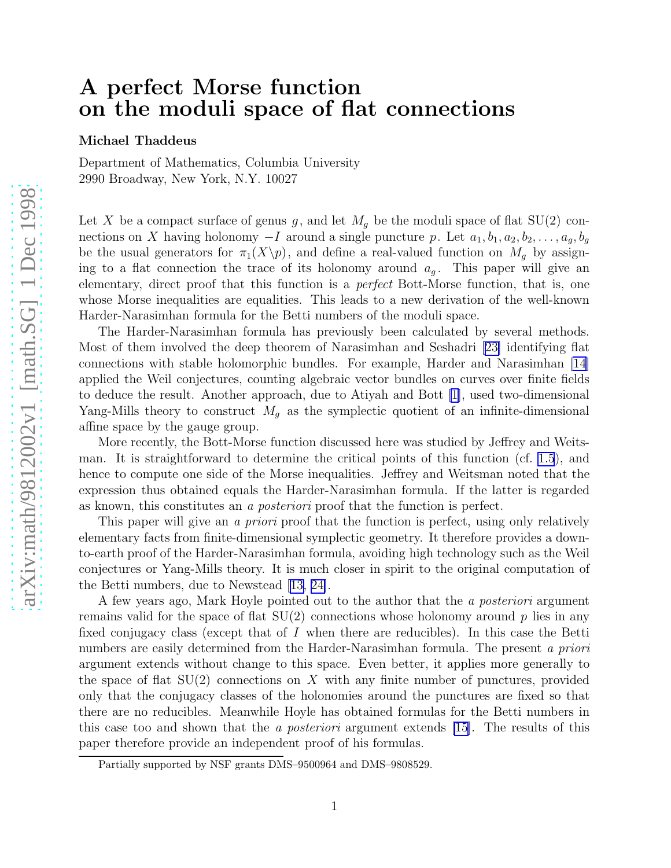# A perfect Morse function on the moduli space of flat connections

Michael Thaddeus

Department of Mathematics, Columbia University 2990 Broadway, New York, N.Y. 10027

Let X be a compact surface of genus g, and let  $M<sub>g</sub>$  be the moduli space of flat SU(2) connections on X having holonomy  $-I$  around a single puncture p. Let  $a_1, b_1, a_2, b_2, \ldots, a_g, b_g$ be the usual generators for  $\pi_1(X\backslash p)$ , and define a real-valued function on  $M_g$  by assigning to a flat connection the trace of its holonomy around  $a_g$ . This paper will give an elementary, direct proof that this function is a perfect Bott-Morse function, that is, one whose Morse inequalities are equalities. This leads to a new derivation of the well-known Harder-Narasimhan formula for the Betti numbers of the moduli space.

The Harder-Narasimhan formula has previously been calculated by several methods. Most of them involved the deep theorem of Narasimhan and Seshadri[[23\]](#page-13-0) identifying flat connections with stable holomorphic bundles. For example, Harder and Narasimhan [\[14\]](#page-13-0) applied the Weil conjectures, counting algebraic vector bundles on curves over finite fields to deduce the result. Another approach, due to Atiyah and Bott [\[1](#page-12-0)], used two-dimensional Yang-Mills theory to construct  $M<sub>g</sub>$  as the symplectic quotient of an infinite-dimensional affine space by the gauge group.

More recently, the Bott-Morse function discussed here was studied by Jeffrey and Weitsman. It is straightforward to determine the critical points of this function (cf. [1.5](#page-2-0)), and hence to compute one side of the Morse inequalities. Jeffrey and Weitsman noted that the expression thus obtained equals the Harder-Narasimhan formula. If the latter is regarded as known, this constitutes an a posteriori proof that the function is perfect.

This paper will give an a *priori* proof that the function is perfect, using only relatively elementary facts from finite-dimensional symplectic geometry. It therefore provides a downto-earth proof of the Harder-Narasimhan formula, avoiding high technology such as the Weil conjectures or Yang-Mills theory. It is much closer in spirit to the original computation of the Betti numbers, due to Newstead [\[13, 24\]](#page-13-0).

A few years ago, Mark Hoyle pointed out to the author that the a posteriori argument remains valid for the space of flat  $SU(2)$  connections whose holonomy around p lies in any fixed conjugacy class (except that of  $I$  when there are reducibles). In this case the Betti numbers are easily determined from the Harder-Narasimhan formula. The present a priori argument extends without change to this space. Even better, it applies more generally to the space of flat  $SU(2)$  connections on X with any finite number of punctures, provided only that the conjugacy classes of the holonomies around the punctures are fixed so that there are no reducibles. Meanwhile Hoyle has obtained formulas for the Betti numbers in this case too and shown that the *a posteriori* argument extends [\[15](#page-13-0)]. The results of this paper therefore provide an independent proof of his formulas.

Partially supported by NSF grants DMS–9500964 and DMS–9808529.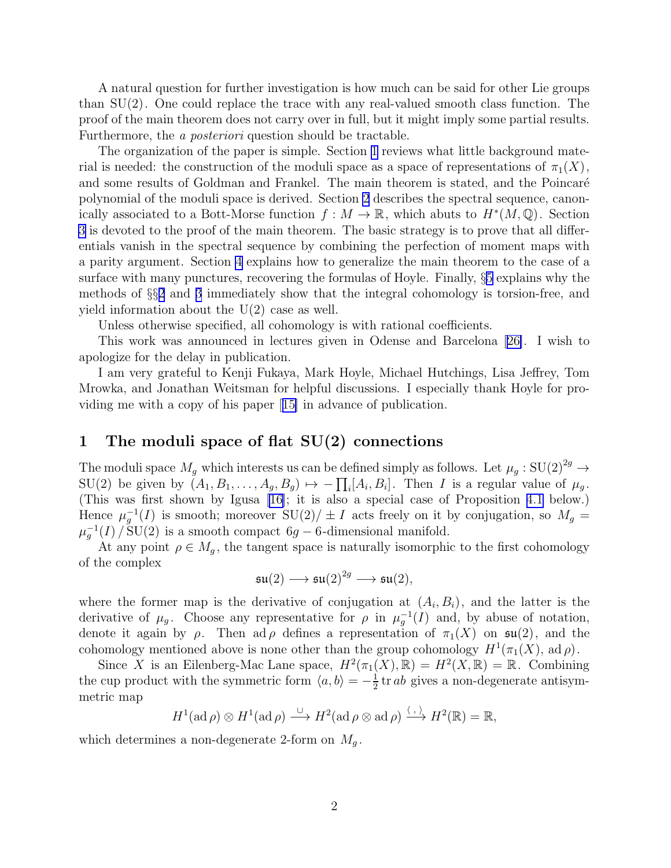<span id="page-1-0"></span>A natural question for further investigation is how much can be said for other Lie groups than SU(2). One could replace the trace with any real-valued smooth class function. The proof of the main theorem does not carry over in full, but it might imply some partial results. Furthermore, the a posteriori question should be tractable.

The organization of the paper is simple. Section 1 reviews what little background material is needed: the construction of the moduli space as a space of representations of  $\pi_1(X)$ , and some results of Goldman and Frankel. The main theorem is stated, and the Poincaré polynomial of the moduli space is derived. Section [2](#page-3-0) describes the spectral sequence, canonically associated to a Bott-Morse function  $f : M \to \mathbb{R}$ , which abuts to  $H^*(M, \mathbb{Q})$ . Section [3](#page-4-0) is devoted to the proof of the main theorem. The basic strategy is to prove that all differentials vanish in the spectral sequence by combining the perfection of moment maps with a parity argument. Section [4](#page-8-0) explains how to generalize the main theorem to the case of a surface with many punctures, recovering the formulas of Hoyle. Finally, §[5](#page-11-0) explains why the methods of §§[2](#page-3-0) and [3](#page-4-0) immediately show that the integral cohomology is torsion-free, and yield information about the U(2) case as well.

Unless otherwise specified, all cohomology is with rational coefficients.

This work was announced in lectures given in Odense and Barcelona[[26\]](#page-13-0). I wish to apologize for the delay in publication.

I am very grateful to Kenji Fukaya, Mark Hoyle, Michael Hutchings, Lisa Jeffrey, Tom Mrowka, and Jonathan Weitsman for helpful discussions. I especially thank Hoyle for providing me with a copy of his paper[[15\]](#page-13-0) in advance of publication.

# 1 The moduli space of flat SU(2) connections

The moduli space  $M_g$  which interests us can be defined simply as follows. Let  $\mu_g : \mathrm{SU}(2)^{2g} \to$  $SU(2)$  be given by  $(A_1, B_1, \ldots, A_g, B_g) \mapsto -\prod_i [A_i, B_i]$ . Then I is a regular value of  $\mu_g$ . (This was first shown by Igusa [\[16\]](#page-13-0); it is also a special case of Proposition [4.1](#page-8-0) below.) Hence  $\mu_g^{-1}(I)$  is smooth; moreover  $SU(2)/\pm I$  acts freely on it by conjugation, so  $M_g =$  $\mu_g^{-1}(I) / SU(2)$  is a smooth compact 6g – 6-dimensional manifold.

At any point  $\rho \in M_q$ , the tangent space is naturally isomorphic to the first cohomology of the complex

$$
\mathfrak{su}(2)\longrightarrow \mathfrak{su}(2)^{2g}\longrightarrow \mathfrak{su}(2),
$$

where the former map is the derivative of conjugation at  $(A_i, B_i)$ , and the latter is the derivative of  $\mu_g$ . Choose any representative for  $\rho$  in  $\mu_g^{-1}(I)$  and, by abuse of notation, denote it again by  $\rho$ . Then ad  $\rho$  defines a representation of  $\pi_1(X)$  on  $\mathfrak{su}(2)$ , and the cohomology mentioned above is none other than the group cohomology  $H^1(\pi_1(X), \mathrm{ad}\,\rho)$ .

Since X is an Eilenberg-Mac Lane space,  $H^2(\pi_1(X), \mathbb{R}) = H^2(X, \mathbb{R}) = \mathbb{R}$ . Combining the cup product with the symmetric form  $\langle a, b \rangle = -\frac{1}{2}$  $\frac{1}{2}$  tr *ab* gives a non-degenerate antisymmetric map

$$
H^1(\mathrm{ad}\,\rho)\otimes H^1(\mathrm{ad}\,\rho)\stackrel{\cup}{\longrightarrow}H^2(\mathrm{ad}\,\rho\otimes\mathrm{ad}\,\rho)\stackrel{\langle\ ,\ \rangle}{\longrightarrow}H^2(\mathbb{R})=\mathbb{R},
$$

which determines a non-degenerate 2-form on  $M<sub>g</sub>$ .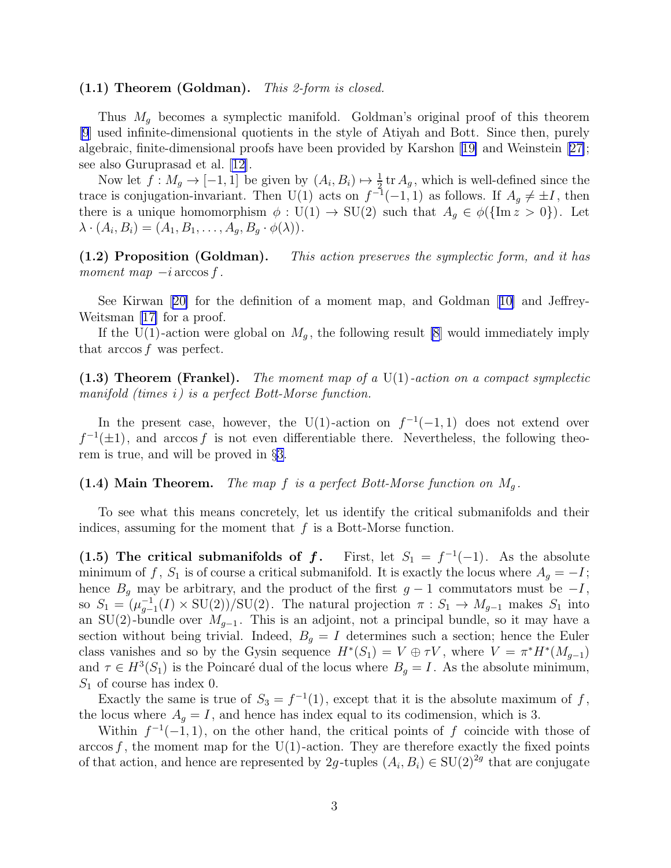#### <span id="page-2-0"></span> $(1.1)$  Theorem (Goldman). This 2-form is closed.

Thus  $M_q$  becomes a symplectic manifold. Goldman's original proof of this theorem [\[9](#page-13-0)] used infinite-dimensional quotients in the style of Atiyah and Bott. Since then, purely algebraic, finite-dimensional proofs have been provided by Karshon[[19\]](#page-13-0) and Weinstein [\[27\]](#page-14-0); see also Guruprasad et al. [\[12\]](#page-13-0).

Now let  $f: M_g \to [-1, 1]$  be given by  $(A_i, B_i) \mapsto \frac{1}{2}$  tr  $A_g$ , which is well-defined since the trace is conjugation-invariant. Then U(1) acts on  $f^{-1}(-1,1)$  as follows. If  $A_g \neq \pm I$ , then there is a unique homomorphism  $\phi : U(1) \to SU(2)$  such that  $A_g \in \phi({\text{Im }z > 0})$ . Let  $\lambda \cdot (A_i, B_i) = (A_1, B_1, \ldots, A_g, B_g \cdot \phi(\lambda)).$ 

(1.2) Proposition (Goldman). This action preserves the symplectic form, and it has moment map  $-i$  arccos f.

See Kirwan[[20\]](#page-13-0) for the definition of a moment map, and Goldman[[10\]](#page-13-0) and Jeffrey-Weitsman[[17\]](#page-13-0) for a proof.

If the U(1)-action were global on  $M_q$ , the following result [\[8](#page-13-0)] would immediately imply that arccos f was perfect.

(1.3) Theorem (Frankel). The moment map of a  $U(1)$ -action on a compact symplectic manifold (times i) is a perfect Bott-Morse function.

In the present case, however, the U(1)-action on  $f^{-1}(-1,1)$  does not extend over  $f^{-1}(\pm 1)$ , and arccos f is not even differentiable there. Nevertheless, the following theorem is true, and will be proved in §[3.](#page-4-0)

#### (1.4) Main Theorem. The map f is a perfect Bott-Morse function on  $M_q$ .

To see what this means concretely, let us identify the critical submanifolds and their indices, assuming for the moment that  $f$  is a Bott-Morse function.

(1.5) The critical submanifolds of f. First, let  $S_1 = f^{-1}(-1)$ . As the absolute minimum of f,  $S_1$  is of course a critical submanifold. It is exactly the locus where  $A_q = -I$ ; hence  $B_g$  may be arbitrary, and the product of the first  $g-1$  commutators must be  $-I$ , so  $S_1 = (\mu_{g-1}^{-1}(I) \times \text{SU}(2))/\text{SU}(2)$ . The natural projection  $\pi : S_1 \to M_{g-1}$  makes  $S_1$  into an SU(2)-bundle over  $M_{q-1}$ . This is an adjoint, not a principal bundle, so it may have a section without being trivial. Indeed,  $B<sub>g</sub> = I$  determines such a section; hence the Euler class vanishes and so by the Gysin sequence  $H^*(S_1) = V \oplus \tau V$ , where  $V = \pi^* H^*(M_{g-1})$ and  $\tau \in H^3(S_1)$  is the Poincaré dual of the locus where  $B_g = I$ . As the absolute minimum,  $S_1$  of course has index 0.

Exactly the same is true of  $S_3 = f^{-1}(1)$ , except that it is the absolute maximum of f, the locus where  $A_g = I$ , and hence has index equal to its codimension, which is 3.

Within  $f^{-1}(-1,1)$ , on the other hand, the critical points of f coincide with those of arccos f, the moment map for the U(1)-action. They are therefore exactly the fixed points of that action, and hence are represented by 2g-tuples  $(A_i, B_i) \in SU(2)^{2g}$  that are conjugate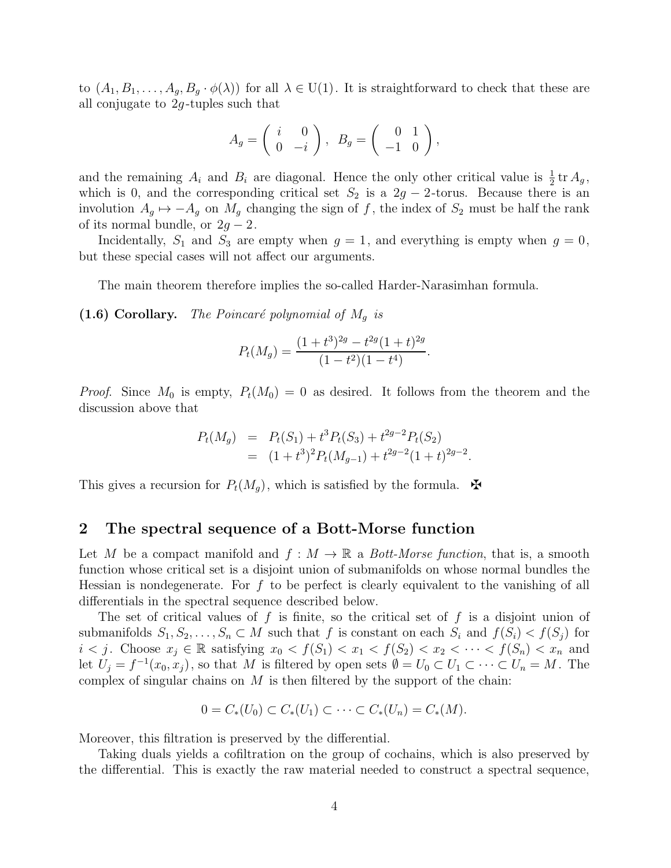<span id="page-3-0"></span>to  $(A_1, B_1, \ldots, A_g, B_g \cdot \phi(\lambda))$  for all  $\lambda \in U(1)$ . It is straightforward to check that these are all conjugate to  $2g$ -tuples such that

$$
A_g = \left( \begin{array}{cc} i & 0 \\ 0 & -i \end{array} \right), \ B_g = \left( \begin{array}{cc} 0 & 1 \\ -1 & 0 \end{array} \right),
$$

and the remaining  $A_i$  and  $B_i$  are diagonal. Hence the only other critical value is  $\frac{1}{2}$ tr  $A_g$ , which is 0, and the corresponding critical set  $S_2$  is a 2g − 2-torus. Because there is an involution  $A_g \mapsto -A_g$  on  $M_g$  changing the sign of f, the index of  $S_2$  must be half the rank of its normal bundle, or  $2g - 2$ .

Incidentally,  $S_1$  and  $S_3$  are empty when  $g = 1$ , and everything is empty when  $g = 0$ , but these special cases will not affect our arguments.

The main theorem therefore implies the so-called Harder-Narasimhan formula.

(1.6) Corollary. The Poincaré polynomial of  $M<sub>g</sub>$  is

$$
P_t(M_g) = \frac{(1+t^3)^{2g} - t^{2g}(1+t)^{2g}}{(1-t^2)(1-t^4)}.
$$

*Proof.* Since  $M_0$  is empty,  $P_t(M_0) = 0$  as desired. It follows from the theorem and the discussion above that

$$
P_t(M_g) = P_t(S_1) + t^3 P_t(S_3) + t^{2g-2} P_t(S_2)
$$
  
= 
$$
(1+t^3)^2 P_t(M_{g-1}) + t^{2g-2} (1+t)^{2g-2}.
$$

This gives a recursion for  $P_t(M_q)$ , which is satisfied by the formula.  $\mathbf{\mathcal{F}}$ 

# 2 The spectral sequence of a Bott-Morse function

Let M be a compact manifold and  $f : M \to \mathbb{R}$  a Bott-Morse function, that is, a smooth function whose critical set is a disjoint union of submanifolds on whose normal bundles the Hessian is nondegenerate. For  $f$  to be perfect is clearly equivalent to the vanishing of all differentials in the spectral sequence described below.

The set of critical values of f is finite, so the critical set of f is a disjoint union of submanifolds  $S_1, S_2, \ldots, S_n \subset M$  such that f is constant on each  $S_i$  and  $f(S_i) < f(S_j)$  for  $i < j$ . Choose  $x_j \in \mathbb{R}$  satisfying  $x_0 < f(S_1) < x_1 < f(S_2) < x_2 < \cdots < f(S_n) < x_n$  and let  $U_j = f^{-1}(x_0, x_j)$ , so that M is filtered by open sets  $\emptyset = U_0 \subset U_1 \subset \cdots \subset U_n = M$ . The complex of singular chains on  $M$  is then filtered by the support of the chain:

$$
0 = C_*(U_0) \subset C_*(U_1) \subset \cdots \subset C_*(U_n) = C_*(M).
$$

Moreover, this filtration is preserved by the differential.

Taking duals yields a cofiltration on the group of cochains, which is also preserved by the differential. This is exactly the raw material needed to construct a spectral sequence,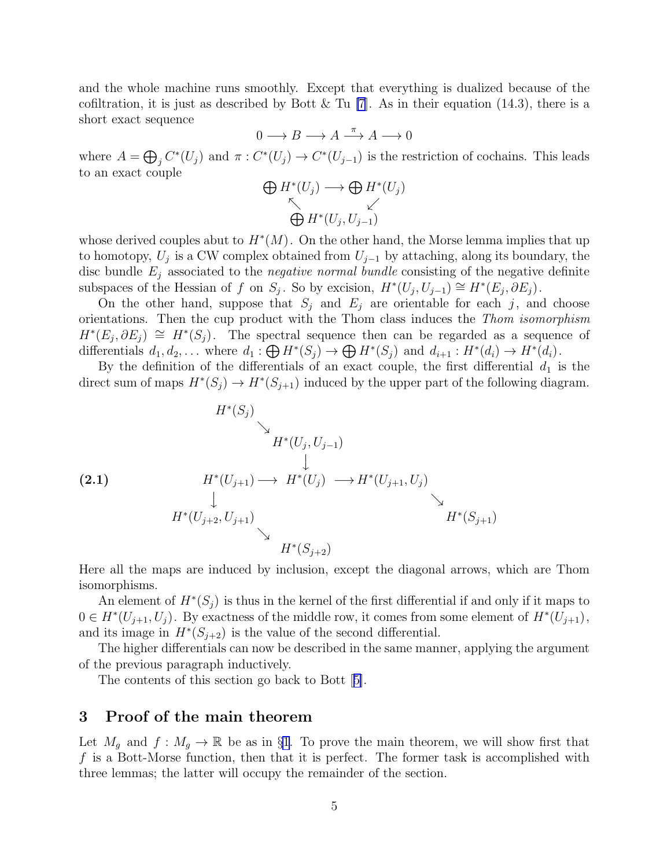<span id="page-4-0"></span>and the whole machine runs smoothly. Except that everything is dualized because of the cofiltration, it is just as described by Bott & Tu [\[7](#page-12-0)]. As in their equation (14.3), there is a short exact sequence

$$
0 \longrightarrow B \longrightarrow A \stackrel{\pi}{\longrightarrow} A \longrightarrow 0
$$

where  $A = \bigoplus_j C^*(U_j)$  and  $\pi: C^*(U_j) \to C^*(U_{j-1})$  is the restriction of cochains. This leads to an exact couple

$$
\bigoplus_{\substack{\kappa \\ \bigoplus H^*(U_j, U_{j-1})}} H^*(U_j)
$$

whose derived couples abut to  $H^*(M)$ . On the other hand, the Morse lemma implies that up to homotopy,  $U_j$  is a CW complex obtained from  $U_{j-1}$  by attaching, along its boundary, the disc bundle  $E_i$  associated to the *negative normal bundle* consisting of the negative definite subspaces of the Hessian of f on  $S_j$ . So by excision,  $H^*(U_j, U_{j-1}) \cong H^*(E_j, \partial E_j)$ .

On the other hand, suppose that  $S_j$  and  $E_j$  are orientable for each j, and choose orientations. Then the cup product with the Thom class induces the Thom isomorphism  $H^*(E_j, \partial E_j) \cong H^*(S_j)$ . The spectral sequence then can be regarded as a sequence of differentials  $d_1, d_2, \ldots$  where  $d_1 : \bigoplus H^*(S_j) \to \bigoplus H^*(S_j)$  and  $d_{i+1} : H^*(d_i) \to H^*(d_i)$ .

By the definition of the differentials of an exact couple, the first differential  $d_1$  is the direct sum of maps  $H^*(S_j) \to H^*(S_{j+1})$  induced by the upper part of the following diagram.

$$
(2.1) \tH^*(S_j) \tH^*(U_j, U_{j-1})
$$
  
\t $H^*(U_{j+1}) \to H^*(U_j) \to H^*(U_{j+1}, U_j)$   
\t $H^*(U_{j+2}, U_{j+1}) \tH^*(S_{j+2})$   
\t $H^*(S_{j+2})$ 

Here all the maps are induced by inclusion, except the diagonal arrows, which are Thom isomorphisms.

An element of  $H^*(S_j)$  is thus in the kernel of the first differential if and only if it maps to  $0 \in H^*(U_{j+1}, U_j)$ . By exactness of the middle row, it comes from some element of  $H^*(U_{j+1}),$ and its image in  $H^*(S_{j+2})$  is the value of the second differential.

The higher differentials can now be described in the same manner, applying the argument of the previous paragraph inductively.

The contents of this section go back to Bott[[5\]](#page-12-0).

### 3 Proof of the main theorem

Let  $M_g$  and  $f : M_g \to \mathbb{R}$  be as in §[1](#page-1-0). To prove the main theorem, we will show first that f is a Bott-Morse function, then that it is perfect. The former task is accomplished with three lemmas; the latter will occupy the remainder of the section.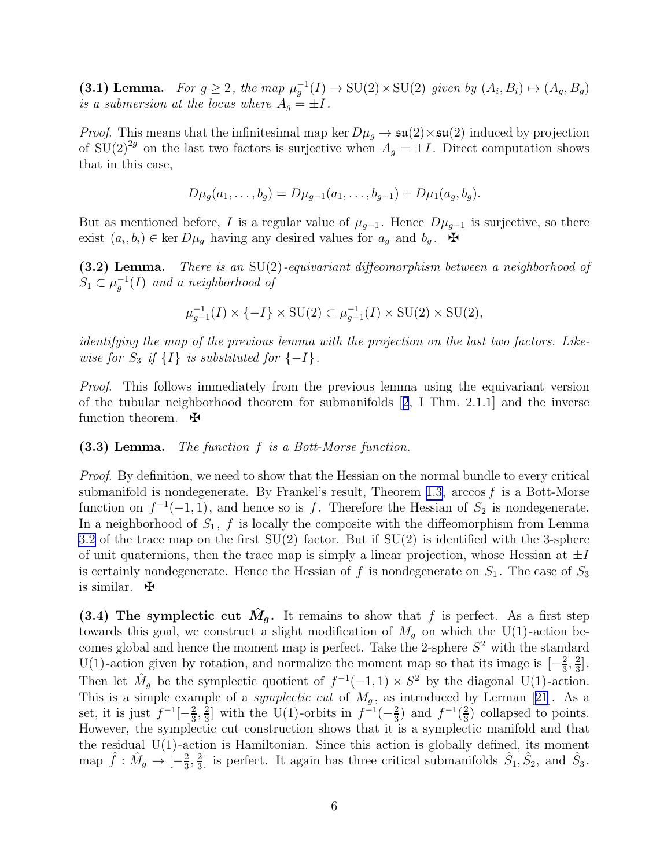<span id="page-5-0"></span>(3.1) Lemma. For  $g \ge 2$ , the map  $\mu_g^{-1}(I) \to \text{SU}(2) \times \text{SU}(2)$  given by  $(A_i, B_i) \mapsto (A_g, B_g)$ is a submersion at the locus where  $A_q = \pm I$ .

*Proof.* This means that the infinitesimal map ker  $D\mu_q \to \mathfrak{su}(2) \times \mathfrak{su}(2)$  induced by projection of  $SU(2)^{2g}$  on the last two factors is surjective when  $A_g = \pm I$ . Direct computation shows that in this case,

$$
D\mu_g(a_1,\ldots,b_g) = D\mu_{g-1}(a_1,\ldots,b_{g-1}) + D\mu_1(a_g,b_g).
$$

But as mentioned before, I is a regular value of  $\mu_{g-1}$ . Hence  $D\mu_{g-1}$  is surjective, so there exist  $(a_i, b_i) \in \text{ker } D\mu_g$  having any desired values for  $a_g$  and  $b_g$ .  $\mathbf{\tilde{H}}$ 

 $(3.2)$  Lemma. There is an SU(2)-equivariant diffeomorphism between a neighborhood of  $S_1 \subset \mu_g^{-1}(I)$  and a neighborhood of

$$
\mu_{g-1}^{-1}(I) \times \{-I\} \times \text{SU}(2) \subset \mu_{g-1}^{-1}(I) \times \text{SU}(2) \times \text{SU}(2),
$$

identifying the map of the previous lemma with the projection on the last two factors. Likewise for  $S_3$  if  $\{I\}$  is substituted for  $\{-I\}$ .

Proof. This follows immediately from the previous lemma using the equivariant version of the tubular neighborhood theorem for submanifolds[[2](#page-12-0), I Thm. 2.1.1] and the inverse function theorem.  $\mathbf{\mathbf{\Phi}}$ 

#### (3.3) Lemma. The function f is a Bott-Morse function.

Proof. By definition, we need to show that the Hessian on the normal bundle to every critical submanifold is nondegenerate. By Frankel's result, Theorem [1.3,](#page-2-0) arccos  $f$  is a Bott-Morse function on  $f^{-1}(-1,1)$ , and hence so is f. Therefore the Hessian of  $S_2$  is nondegenerate. In a neighborhood of  $S_1$ , f is locally the composite with the diffeomorphism from Lemma 3.2 of the trace map on the first  $SU(2)$  factor. But if  $SU(2)$  is identified with the 3-sphere of unit quaternions, then the trace map is simply a linear projection, whose Hessian at  $\pm I$ is certainly nondegenerate. Hence the Hessian of f is nondegenerate on  $S_1$ . The case of  $S_3$ is similar.  $\mathbf{\Psi}$ 

(3.4) The symplectic cut  $\hat{M}_g$ . It remains to show that f is perfect. As a first step towards this goal, we construct a slight modification of  $M<sub>q</sub>$  on which the U(1)-action becomes global and hence the moment map is perfect. Take the 2-sphere  $S^2$  with the standard U(1)-action given by rotation, and normalize the moment map so that its image is  $\left[-\frac{2}{3}\right]$  $\frac{2}{3}, \frac{2}{3}$  $\frac{2}{3}$ . Then let  $\hat{M}_g$  be the symplectic quotient of  $f^{-1}(-1,1) \times S^2$  by the diagonal U(1)-action. Thisis a simple example of a *symplectic cut* of  $M<sub>g</sub>$ , as introduced by Lerman [[21](#page-13-0)]. As a set, it is just  $f^{-1}[-\frac{2}{3}]$  $\frac{2}{3}, \frac{2}{3}$  $\frac{2}{3}$  with the U(1)-orbits in  $f^{-1}(-\frac{2}{3})$  $(\frac{2}{3})$  and  $f^{-1}(\frac{2}{3})$  $\frac{2}{3}$ ) collapsed to points. However, the symplectic cut construction shows that it is a symplectic manifold and that the residual  $U(1)$ -action is Hamiltonian. Since this action is globally defined, its moment map  $\hat{f}: \hat{M}_g \to \left[-\frac{2}{3}\right]$  $\frac{2}{3}, \frac{2}{3}$  $\frac{2}{3}$  is perfect. It again has three critical submanifolds  $\hat{S}_1, \hat{S}_2$ , and  $\hat{S}_3$ .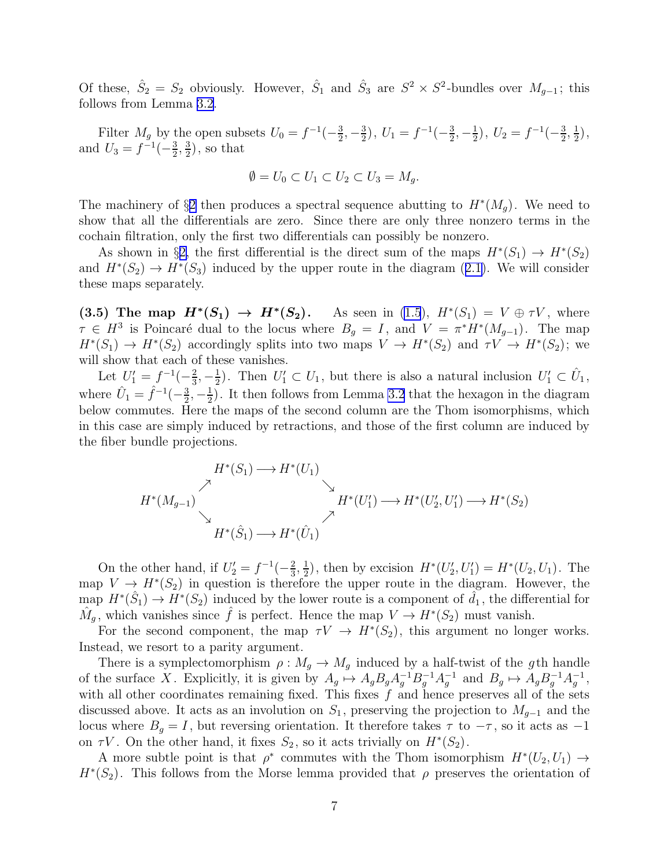<span id="page-6-0"></span>Of these,  $\hat{S}_2 = S_2$  obviously. However,  $\hat{S}_1$  and  $\hat{S}_3$  are  $S^2 \times S^2$ -bundles over  $M_{g-1}$ ; this follows from Lemma [3.2.](#page-5-0)

Filter  $M_g$  by the open subsets  $U_0 = f^{-1}(-\frac{3}{2})$  $\frac{3}{2}, -\frac{3}{2}$  $(\frac{3}{2}), U_1 = f^{-1}(-\frac{3}{2})$  $\frac{3}{2}, -\frac{1}{2}$  $(\frac{1}{2}), U_2 = f^{-1}(-\frac{3}{2})$  $\frac{3}{2}, \frac{1}{2}$  $(\frac{1}{2})$ , and  $U_3 = f^{-1}(-\frac{3}{2})$  $\frac{3}{2}$ ,  $\frac{3}{2}$  $(\frac{3}{2})$ , so that

$$
\emptyset = U_0 \subset U_1 \subset U_2 \subset U_3 = M_g.
$$

The machinery of §[2](#page-3-0) then produces a spectral sequence abutting to  $H^*(M_g)$ . We need to show that all the differentials are zero. Since there are only three nonzero terms in the cochain filtration, only the first two differentials can possibly be nonzero.

As shown in §[2,](#page-3-0) the first differential is the direct sum of the maps  $H^*(S_1) \to H^*(S_2)$ and $H^*(S_2) \to H^*(S_3)$  induced by the upper route in the diagram ([2.1\)](#page-4-0). We will consider these maps separately.

 $(3.5)$  The map  $H^*(S_1) \rightarrow H^*$  $(S_2)$ . As seen in [\(1.5](#page-2-0)),  $H^*(S_1) = V \oplus \tau V$ , where  $\tau \in H^3$  is Poincaré dual to the locus where  $B_g = I$ , and  $V = \pi^* H^*(M_{g-1})$ . The map  $H^*(S_1) \to H^*(S_2)$  accordingly splits into two maps  $V \to H^*(S_2)$  and  $\tau V \to H^*(S_2)$ ; we will show that each of these vanishes.

Let  $U_1' = f^{-1}(-\frac{2}{3})$  $\frac{2}{3}, -\frac{1}{2}$  $\frac{1}{2}$ ). Then  $U'_1 \subset U_1$ , but there is also a natural inclusion  $U'_1 \subset \hat{U}_1$ , where  $\hat{U}_1 = \hat{f}^{-1}(-\frac{3}{2})$  $\frac{3}{2}, -\frac{1}{2}$  $\frac{1}{2}$ ). It then follows from Lemma [3.2](#page-5-0) that the hexagon in the diagram below commutes. Here the maps of the second column are the Thom isomorphisms, which in this case are simply induced by retractions, and those of the first column are induced by the fiber bundle projections.

$$
H^*(S_1) \longrightarrow H^*(U_1)
$$
  
\n
$$
H^*(M_{g-1}) \longrightarrow H^*(S_1) \longrightarrow H^*(U'_1) \longrightarrow H^*(U'_2, U'_1) \longrightarrow H^*(S_2)
$$
  
\n
$$
H^*(\hat{S}_1) \longrightarrow H^*(\hat{U}_1)
$$

On the other hand, if  $U_2' = f^{-1}(-\frac{2}{3})$  $\frac{2}{3}, \frac{1}{2}$  $\frac{1}{2}$ , then by excision  $H^*(U'_2, U'_1) = H^*(U_2, U_1)$ . The map  $V \to H^*(S_2)$  in question is therefore the upper route in the diagram. However, the map  $H^*(\hat{S}_1) \to H^*(S_2)$  induced by the lower route is a component of  $\hat{d}_1$ , the differential for  $\hat{M}_g$ , which vanishes since  $\hat{f}$  is perfect. Hence the map  $V \to H^*(S_2)$  must vanish.

For the second component, the map  $\tau V \to H^*(S_2)$ , this argument no longer works. Instead, we resort to a parity argument.

There is a symplectomorphism  $\rho : M_q \to M_q$  induced by a half-twist of the gth handle of the surface X. Explicitly, it is given by  $A_g \mapsto A_g B_g A_g^{-1} B_g^{-1} A_g^{-1}$  and  $B_g \mapsto A_g B_g^{-1} A_g^{-1}$ , with all other coordinates remaining fixed. This fixes  $f$  and hence preserves all of the sets discussed above. It acts as an involution on  $S_1$ , preserving the projection to  $M_{g-1}$  and the locus where  $B<sub>g</sub> = I$ , but reversing orientation. It therefore takes  $\tau$  to  $-\tau$ , so it acts as  $-1$ on  $\tau V$ . On the other hand, it fixes  $S_2$ , so it acts trivially on  $H^*(S_2)$ .

A more subtle point is that  $\rho^*$  commutes with the Thom isomorphism  $H^*(U_2, U_1) \to$  $H^*(S_2)$ . This follows from the Morse lemma provided that  $\rho$  preserves the orientation of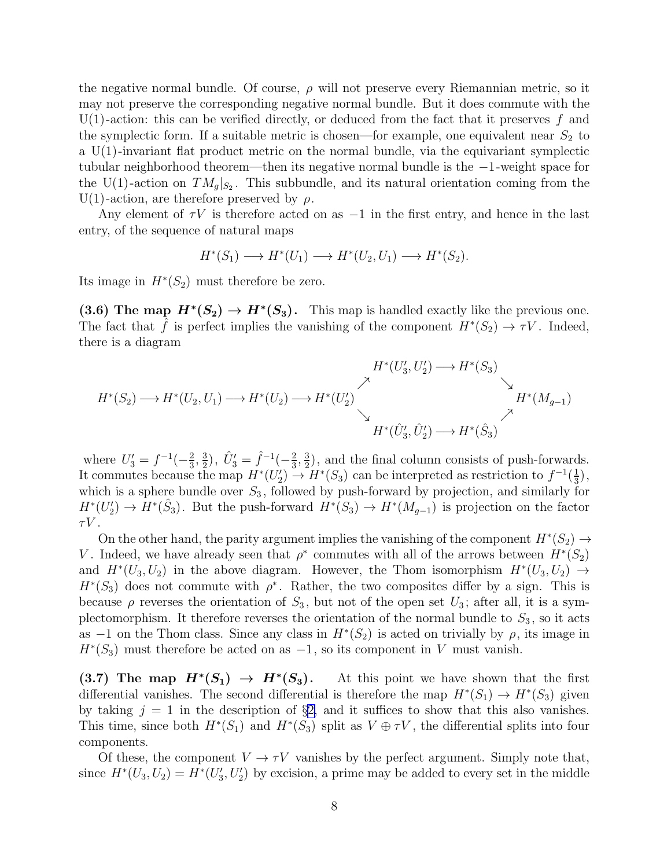<span id="page-7-0"></span>the negative normal bundle. Of course,  $\rho$  will not preserve every Riemannian metric, so it may not preserve the corresponding negative normal bundle. But it does commute with the  $U(1)$ -action: this can be verified directly, or deduced from the fact that it preserves f and the symplectic form. If a suitable metric is chosen—for example, one equivalent near  $S_2$  to a  $U(1)$ -invariant flat product metric on the normal bundle, via the equivariant symplectic tubular neighborhood theorem—then its negative normal bundle is the −1 -weight space for the U(1)-action on  $TM_g|_{S_2}$ . This subbundle, and its natural orientation coming from the U(1)-action, are therefore preserved by  $\rho$ .

Any element of  $\tau V$  is therefore acted on as  $-1$  in the first entry, and hence in the last entry, of the sequence of natural maps

$$
H^*(S_1) \longrightarrow H^*(U_1) \longrightarrow H^*(U_2, U_1) \longrightarrow H^*(S_2).
$$

Its image in  $H^*(S_2)$  must therefore be zero.

(3.6) The map  $H^*(S_2) \to H^*(S_3)$ . This map is handled exactly like the previous one. The fact that  $\tilde{f}$  is perfect implies the vanishing of the component  $H^*(S_2) \to \tau V$ . Indeed, there is a diagram

$$
H^*(S_2) \longrightarrow H^*(U_2, U_1) \longrightarrow H^*(U_2) \longrightarrow H^*(U_2') \longrightarrow H^*(U_2') \longrightarrow H^*(\hat{U}_3', \hat{U}_2') \longrightarrow H^*(\hat{S}_3) \longrightarrow H^*(M_{g-1})
$$

where  $U_3' = f^{-1}(-\frac{2}{3})$  $\frac{2}{3}, \frac{3}{2}$  $(\frac{3}{2}), \hat{U}'_3 = \hat{f}^{-1}(-\frac{2}{3})$  $\frac{2}{3}, \frac{3}{2}$  $\frac{3}{2}$ , and the final column consists of push-forwards. It commutes because the map  $H^*(U_2') \to H^*(S_3)$  can be interpreted as restriction to  $f^{-1}(\frac{1}{3})$  $\frac{1}{3}$ , which is a sphere bundle over  $S_3$ , followed by push-forward by projection, and similarly for  $H^*(U_2') \to H^*(\hat{S}_3)$ . But the push-forward  $H^*(S_3) \to H^*(M_{g-1})$  is projection on the factor  $\tau V$ .

On the other hand, the parity argument implies the vanishing of the component  $H^*(S_2) \to$ V. Indeed, we have already seen that  $\rho^*$  commutes with all of the arrows between  $H^*(S_2)$ and  $H^*(U_3, U_2)$  in the above diagram. However, the Thom isomorphism  $H^*(U_3, U_2) \to$  $H^*(S_3)$  does not commute with  $\rho^*$ . Rather, the two composites differ by a sign. This is because  $\rho$  reverses the orientation of  $S_3$ , but not of the open set  $U_3$ ; after all, it is a symplectomorphism. It therefore reverses the orientation of the normal bundle to  $S_3$ , so it acts as  $-1$  on the Thom class. Since any class in  $H^*(S_2)$  is acted on trivially by  $\rho$ , its image in  $H^*(S_3)$  must therefore be acted on as  $-1$ , so its component in V must vanish.

 $(3.7)$  The map  $H^*(S_1) \rightarrow H^*$ At this point we have shown that the first differential vanishes. The second differential is therefore the map  $H^*(S_1) \to H^*(S_3)$  given by taking  $j = 1$  in the description of  $\S2$ , and it suffices to show that this also vanishes. This time, since both  $H^*(S_1)$  and  $H^*(S_3)$  split as  $V \oplus \tau V$ , the differential splits into four components.

Of these, the component  $V \to \tau V$  vanishes by the perfect argument. Simply note that, since  $H^*(U_3, U_2) = H^*(U'_3, U'_2)$  by excision, a prime may be added to every set in the middle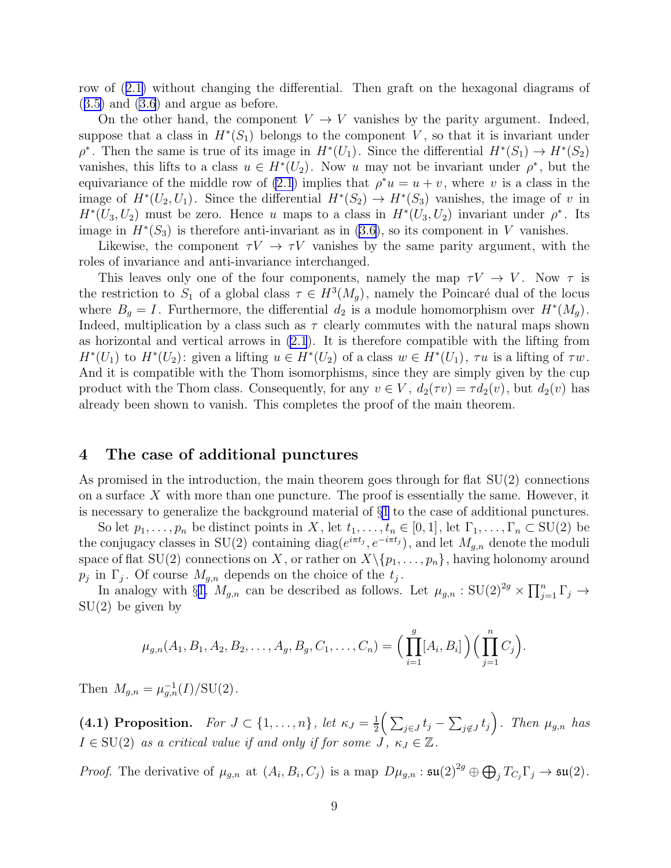<span id="page-8-0"></span>row of([2.1\)](#page-4-0) without changing the differential. Then graft on the hexagonal diagrams of  $(3.5)$  $(3.5)$  and  $(3.6)$  and argue as before.

On the other hand, the component  $V \to V$  vanishes by the parity argument. Indeed, suppose that a class in  $H^*(S_1)$  belongs to the component V, so that it is invariant under  $\rho^*$ . Then the same is true of its image in  $H^*(U_1)$ . Since the differential  $H^*(S_1) \to H^*(S_2)$ vanishes, this lifts to a class  $u \in H^*(U_2)$ . Now u may not be invariant under  $\rho^*$ , but the equivariance of the middle row of [\(2.1](#page-4-0)) implies that  $\rho^*u = u + v$ , where v is a class in the image of  $H^*(U_2, U_1)$ . Since the differential  $H^*(S_2) \to H^*(S_3)$  vanishes, the image of v in  $H^*(U_3, U_2)$  must be zero. Hence u maps to a class in  $H^*(U_3, U_2)$  invariant under  $\rho^*$ . Its image in  $H^*(S_3)$  is therefore anti-invariant as in [\(3.6](#page-7-0)), so its component in V vanishes.

Likewise, the component  $\tau V \to \tau V$  vanishes by the same parity argument, with the roles of invariance and anti-invariance interchanged.

This leaves only one of the four components, namely the map  $\tau V \to V$ . Now  $\tau$  is the restriction to  $S_1$  of a global class  $\tau \in H^3(M_g)$ , namely the Poincaré dual of the locus where  $B_g = I$ . Furthermore, the differential  $d_2$  is a module homomorphism over  $H^*(M_g)$ . Indeed, multiplication by a class such as  $\tau$  clearly commutes with the natural maps shown as horizontal and vertical arrows in [\(2.1](#page-4-0)). It is therefore compatible with the lifting from  $H^*(U_1)$  to  $H^*(U_2)$ : given a lifting  $u \in H^*(U_2)$  of a class  $w \in H^*(U_1)$ ,  $\tau u$  is a lifting of  $\tau w$ . And it is compatible with the Thom isomorphisms, since they are simply given by the cup product with the Thom class. Consequently, for any  $v \in V$ ,  $d_2(\tau v) = \tau d_2(v)$ , but  $d_2(v)$  has already been shown to vanish. This completes the proof of the main theorem.

# 4 The case of additional punctures

As promised in the introduction, the main theorem goes through for flat  $SU(2)$  connections on a surface  $X$  with more than one puncture. The proof is essentially the same. However, it is necessary to generalize the background material of §[1](#page-1-0) to the case of additional punctures.

So let  $p_1, \ldots, p_n$  be distinct points in X, let  $t_1, \ldots, t_n \in [0,1]$ , let  $\Gamma_1, \ldots, \Gamma_n \subset \text{SU}(2)$  be the conjugacy classes in SU(2) containing diag( $e^{i\pi t_j}, e^{-i\pi t_j}$ ), and let  $M_{g,n}$  denote the moduli space of flat SU(2) connections on X, or rather on  $X\backslash \{p_1,\ldots,p_n\}$ , having holonomy around  $p_j$  in  $\Gamma_j$ . Of course  $M_{g,n}$  depends on the choice of the  $t_j$ .

In analogy with §[1,](#page-1-0)  $M_{g,n}$  can be described as follows. Let  $\mu_{g,n} : SU(2)^{2g} \times \prod_{j=1}^n \Gamma_j \to$ SU(2) be given by

$$
\mu_{g,n}(A_1, B_1, A_2, B_2, \ldots, A_g, B_g, C_1, \ldots, C_n) = \Big(\prod_{i=1}^g [A_i, B_i]\Big) \Big(\prod_{j=1}^n C_j\Big).
$$

Then  $M_{g,n} = \mu_{g,n}^{-1}(I)/SU(2)$ .

(4.1) Proposition. For  $J \subset \{1,\ldots,n\}$ , let  $\kappa_J = \frac{1}{2}$  $\frac{1}{2} \Big( \sum_{j \in J} t_j - \sum_{j \notin J} t_j \Big)$ . Then  $\mu_{g,n}$  has  $I \in SU(2)$  as a critical value if and only if for some  $J, \kappa_J \in \mathbb{Z}$ .

*Proof.* The derivative of  $\mu_{g,n}$  at  $(A_i, B_i, C_j)$  is a map  $D\mu_{g,n} : \mathfrak{su}(2)^{2g} \oplus \bigoplus_j T_{C_j} \Gamma_j \to \mathfrak{su}(2)$ .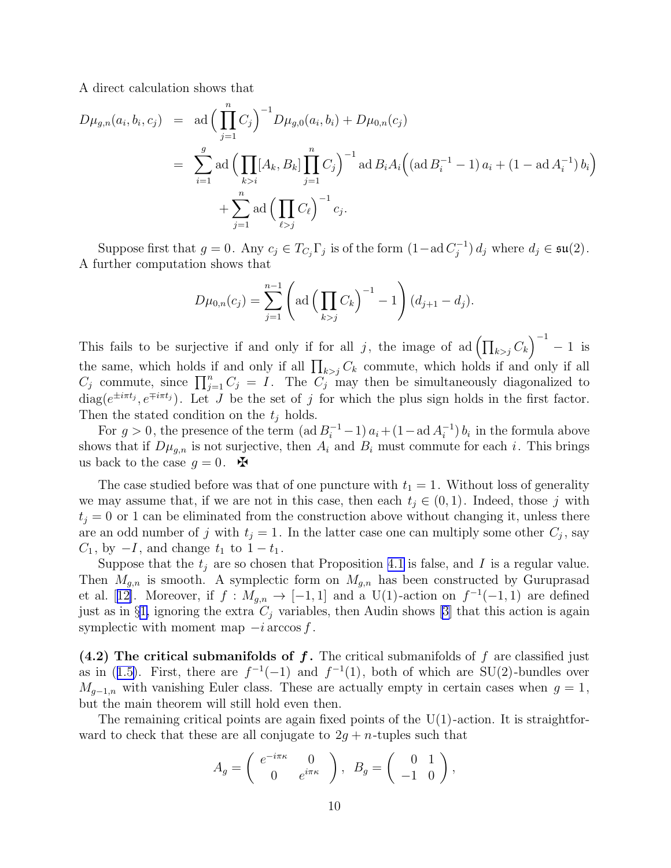<span id="page-9-0"></span>A direct calculation shows that

$$
D\mu_{g,n}(a_i, b_i, c_j) = \text{ad}\left(\prod_{j=1}^n C_j\right)^{-1} D\mu_{g,0}(a_i, b_i) + D\mu_{0,n}(c_j)
$$
  
= 
$$
\sum_{i=1}^g \text{ad}\left(\prod_{k>i} [A_k, B_k] \prod_{j=1}^n C_j\right)^{-1} \text{ad } B_i A_i \left( (\text{ad } B_i^{-1} - 1) a_i + (1 - \text{ad } A_i^{-1}) b_i \right)
$$
  
+ 
$$
\sum_{j=1}^n \text{ad}\left(\prod_{\ell > j} C_\ell\right)^{-1} c_j.
$$

Suppose first that  $g = 0$ . Any  $c_j \in T_{C_j} \Gamma_j$  is of the form  $(1 - \text{ad } C_j^{-1}) d_j$  where  $d_j \in \mathfrak{su}(2)$ . A further computation shows that

$$
D\mu_{0,n}(c_j) = \sum_{j=1}^{n-1} \left( \text{ad}\left(\prod_{k>j} C_k\right)^{-1} - 1\right) (d_{j+1} - d_j).
$$

This fails to be surjective if and only if for all j, the image of ad $\left(\prod_{k> j} C_k\right)^{-1} - 1$  is the same, which holds if and only if all  $\prod_{k>j} C_k$  commute, which holds if and only if all  $C_j$  commute, since  $\prod_{j=1}^n C_j = I$ . The  $C_j$  may then be simultaneously diagonalized to  $diag(e^{\pm i\pi t_j}, e^{\mp i\pi t_j})$ . Let J be the set of j for which the plus sign holds in the first factor. Then the stated condition on the  $t_i$  holds.

For  $g > 0$ , the presence of the term  $(\text{ad }B_i^{-1} - 1) a_i + (1 - \text{ad }A_i^{-1}) b_i$  in the formula above shows that if  $D\mu_{g,n}$  is not surjective, then  $A_i$  and  $B_i$  must commute for each i. This brings us back to the case  $g = 0$ .

The case studied before was that of one puncture with  $t_1 = 1$ . Without loss of generality we may assume that, if we are not in this case, then each  $t_i \in (0, 1)$ . Indeed, those j with  $t_i = 0$  or 1 can be eliminated from the construction above without changing it, unless there are an odd number of j with  $t_j = 1$ . In the latter case one can multiply some other  $C_j$ , say  $C_1$ , by  $-I$ , and change  $t_1$  to  $1-t_1$ .

Suppose that the  $t_j$  are so chosen that Proposition [4.1](#page-8-0) is false, and I is a regular value. Then  $M_{g,n}$  is smooth. A symplectic form on  $M_{g,n}$  has been constructed by Guruprasad etal. [[12\]](#page-13-0). Moreover, if  $f: M_{g,n} \to [-1,1]$  and a U(1)-action on  $f^{-1}(-1,1)$  are defined just as in §[1,](#page-1-0) ignoring the extra  $C_i$  variables, then Audin shows [\[3\]](#page-12-0) that this action is again symplectic with moment map  $-i$  arccos f.

(4.2) The critical submanifolds of  $f$ . The critical submanifolds of f are classified just asin ([1.5\)](#page-2-0). First, there are  $f^{-1}(-1)$  and  $f^{-1}(1)$ , both of which are SU(2)-bundles over  $M_{q-1,n}$  with vanishing Euler class. These are actually empty in certain cases when  $g=1$ , but the main theorem will still hold even then.

The remaining critical points are again fixed points of the  $U(1)$ -action. It is straightforward to check that these are all conjugate to  $2g + n$ -tuples such that

$$
A_g = \begin{pmatrix} e^{-i\pi\kappa} & 0 \\ 0 & e^{i\pi\kappa} \end{pmatrix}, \ B_g = \begin{pmatrix} 0 & 1 \\ -1 & 0 \end{pmatrix},
$$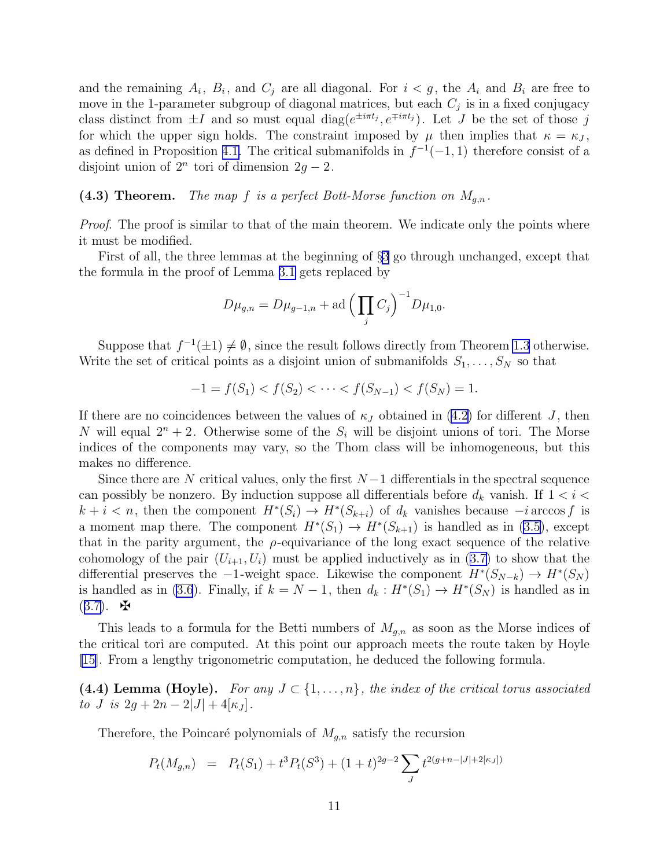and the remaining  $A_i$ ,  $B_i$ , and  $C_j$  are all diagonal. For  $i < g$ , the  $A_i$  and  $B_i$  are free to move in the 1-parameter subgroup of diagonal matrices, but each  $C_j$  is in a fixed conjugacy class distinct from  $\pm I$  and so must equal diag( $e^{\pm i\pi t_j}, e^{\mp i\pi t_j}$ ). Let J be the set of those j for which the upper sign holds. The constraint imposed by  $\mu$  then implies that  $\kappa = \kappa_J$ , as defined in Proposition [4.1.](#page-8-0) The critical submanifolds in  $f^{-1}(-1, 1)$  therefore consist of a disjoint union of  $2^n$  tori of dimension  $2g - 2$ .

(4.3) Theorem. The map f is a perfect Bott-Morse function on  $M_{g,n}$ .

Proof. The proof is similar to that of the main theorem. We indicate only the points where it must be modified.

First of all, the three lemmas at the beginning of §[3](#page-4-0) go through unchanged, except that the formula in the proof of Lemma [3.1](#page-5-0) gets replaced by

$$
D\mu_{g,n} = D\mu_{g-1,n} + \text{ad}\left(\prod_j C_j\right)^{-1} D\mu_{1,0}.
$$

Suppose that  $f^{-1}(\pm 1) \neq \emptyset$ , since the result follows directly from Theorem [1.3](#page-2-0) otherwise. Write the set of critical points as a disjoint union of submanifolds  $S_1, \ldots, S_N$  so that

$$
-1 = f(S_1) < f(S_2) < \cdots < f(S_{N-1}) < f(S_N) = 1.
$$

Ifthere are no coincidences between the values of  $\kappa_J$  obtained in ([4.2\)](#page-9-0) for different J, then N will equal  $2^n + 2$ . Otherwise some of the  $S_i$  will be disjoint unions of tori. The Morse indices of the components may vary, so the Thom class will be inhomogeneous, but this makes no difference.

Since there are N critical values, only the first  $N-1$  differentials in the spectral sequence can possibly be nonzero. By induction suppose all differentials before  $d_k$  vanish. If  $1 < i <$  $k + i < n$ , then the component  $H^*(S_i) \to H^*(S_{k+i})$  of  $d_k$  vanishes because  $-i$  arccos f is a moment map there. The component  $H^*(S_1) \to H^*(S_{k+1})$  is handled as in [\(3.5](#page-6-0)), except that in the parity argument, the  $\rho$ -equivariance of the long exact sequence of the relative cohomologyof the pair  $(U_{i+1}, U_i)$  must be applied inductively as in ([3.7\)](#page-7-0) to show that the differential preserves the  $-1$ -weight space. Likewise the component  $H^*(S_{N-k}) \to H^*(S_N)$ is handled as in [\(3.6](#page-7-0)). Finally, if  $k = N - 1$ , then  $d_k : H^*(S_1) \to H^*(S_N)$  is handled as in  $(3.7)$  $(3.7)$ .  $\mathbf{\ddot{H}}$ 

This leads to a formula for the Betti numbers of  $M_{g,n}$  as soon as the Morse indices of the critical tori are computed. At this point our approach meets the route taken by Hoyle [\[15](#page-13-0)]. From a lengthy trigonometric computation, he deduced the following formula.

(4.4) Lemma (Hoyle). For any  $J \subset \{1, \ldots, n\}$ , the index of the critical torus associated to J is  $2g + 2n - 2|J| + 4|\kappa_J|$ .

Therefore, the Poincaré polynomials of  $M_{g,n}$  satisfy the recursion

$$
P_t(M_{g,n}) = P_t(S_1) + t^3 P_t(S^3) + (1+t)^{2g-2} \sum_J t^{2(g+n-|J|+2[\kappa_J])}
$$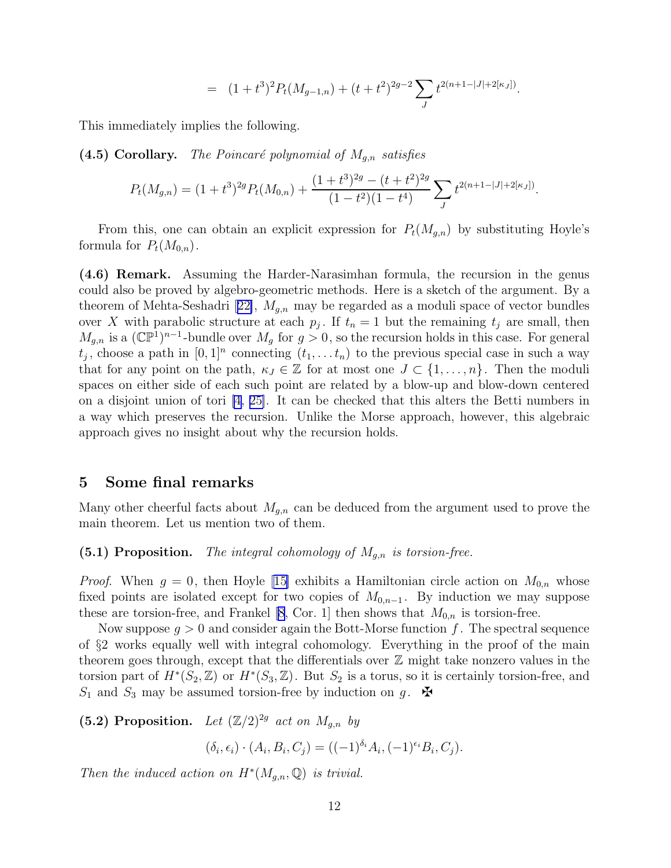$$
= (1+t^3)^2 P_t(M_{g-1,n}) + (t+t^2)^{2g-2} \sum_J t^{2(n+1-|J|+2[\kappa_J])}.
$$

<span id="page-11-0"></span>This immediately implies the following.

(4.5) Corollary. The Poincaré polynomial of  $M_{g,n}$  satisfies

$$
P_t(M_{g,n}) = (1+t^3)^{2g} P_t(M_{0,n}) + \frac{(1+t^3)^{2g} - (t+t^2)^{2g}}{(1-t^2)(1-t^4)} \sum_J t^{2(n+1-|J|+2[\kappa_J])}.
$$

From this, one can obtain an explicit expression for  $P_t(M_{g,n})$  by substituting Hoyle's formula for  $P_t(M_{0,n})$ .

(4.6) Remark. Assuming the Harder-Narasimhan formula, the recursion in the genus could also be proved by algebro-geometric methods. Here is a sketch of the argument. By a theoremof Mehta-Seshadri [[22\]](#page-13-0),  $M_{g,n}$  may be regarded as a moduli space of vector bundles over X with parabolic structure at each  $p_j$ . If  $t_n = 1$  but the remaining  $t_j$  are small, then  $M_{g,n}$  is a  $(\mathbb{CP}^1)^{n-1}$ -bundle over  $M_g$  for  $g > 0$ , so the recursion holds in this case. For general  $t_j$ , choose a path in  $[0,1]^n$  connecting  $(t_1, \ldots t_n)$  to the previous special case in such a way that for any point on the path,  $\kappa_J \in \mathbb{Z}$  for at most one  $J \subset \{1, \ldots, n\}$ . Then the moduli spaces on either side of each such point are related by a blow-up and blow-down centered on a disjoint union of tori [\[4](#page-12-0), [25\]](#page-13-0). It can be checked that this alters the Betti numbers in a way which preserves the recursion. Unlike the Morse approach, however, this algebraic approach gives no insight about why the recursion holds.

### 5 Some final remarks

Many other cheerful facts about  $M_{g,n}$  can be deduced from the argument used to prove the main theorem. Let us mention two of them.

#### (5.1) Proposition. The integral cohomology of  $M_{g,n}$  is torsion-free.

*Proof.*When  $g = 0$ , then Hoyle [[15\]](#page-13-0) exhibits a Hamiltonian circle action on  $M_{0,n}$  whose fixed points are isolated except for two copies of  $M_{0,n-1}$ . By induction we may suppose these are torsion-free, and Frankel [\[8,](#page-13-0) Cor. 1] then shows that  $M_{0,n}$  is torsion-free.

Now suppose  $g > 0$  and consider again the Bott-Morse function f. The spectral sequence of §2 works equally well with integral cohomology. Everything in the proof of the main theorem goes through, except that the differentials over  $\mathbb Z$  might take nonzero values in the torsion part of  $H^*(S_2, \mathbb{Z})$  or  $H^*(S_3, \mathbb{Z})$ . But  $S_2$  is a torus, so it is certainly torsion-free, and  $S_1$  and  $S_3$  may be assumed torsion-free by induction on g.  $\mathbf{\mathbf{\Phi}}$ 

(5.2) Proposition. Let  $(\mathbb{Z}/2)^{2g}$  act on  $M_{g,n}$  by

 $(\delta_i, \epsilon_i) \cdot (A_i, B_i, C_j) = ((-1)^{\delta_i} A_i, (-1)^{\epsilon_i} B_i, C_j).$ 

Then the induced action on  $H^*(M_{g,n}, \mathbb{Q})$  is trivial.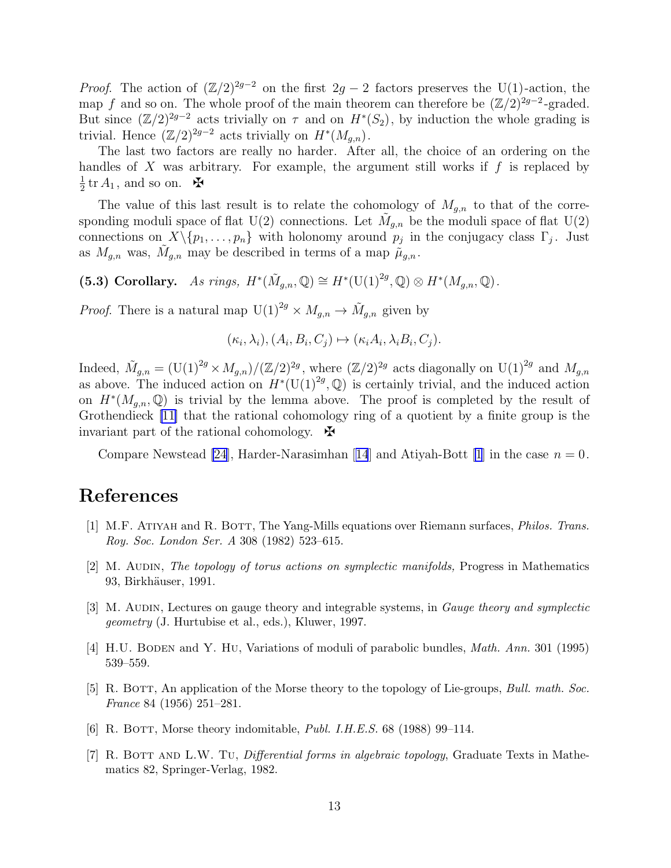<span id="page-12-0"></span>*Proof.* The action of  $(\mathbb{Z}/2)^{2g-2}$  on the first  $2g-2$  factors preserves the U(1)-action, the map f and so on. The whole proof of the main theorem can therefore be  $(\mathbb{Z}/2)^{2g-2}$ -graded. But since  $(\mathbb{Z}/2)^{2g-2}$  acts trivially on  $\tau$  and on  $H^*(S_2)$ , by induction the whole grading is trivial. Hence  $(\mathbb{Z}/2)^{2g-2}$  acts trivially on  $H^*(M_{g,n})$ .

The last two factors are really no harder. After all, the choice of an ordering on the handles of  $X$  was arbitrary. For example, the argument still works if  $f$  is replaced by 1  $\frac{1}{2}$  tr  $A_1$ , and so on.  $\blacktriangleright$ 

The value of this last result is to relate the cohomology of  $M_{g,n}$  to that of the corresponding moduli space of flat U(2) connections. Let  $\tilde{M}_{g,n}$  be the moduli space of flat U(2) connections on  $X \setminus \{p_1, \ldots, p_n\}$  with holonomy around  $p_j$  in the conjugacy class  $\Gamma_j$ . Just as  $M_{g,n}$  was,  $\tilde{M}_{g,n}$  may be described in terms of a map  $\tilde{\mu}_{g,n}$ .

(5.3) Corollary. As rings,  $H^*(\tilde{M}_{g,n}, \mathbb{Q}) \cong H^*(U(1)^{2g}, \mathbb{Q}) \otimes H^*(M_{g,n}, \mathbb{Q})$ .

*Proof.* There is a natural map  $U(1)^{2g} \times M_{g,n} \to \tilde{M}_{g,n}$  given by

$$
(\kappa_i, \lambda_i), (A_i, B_i, C_j) \mapsto (\kappa_i A_i, \lambda_i B_i, C_j).
$$

Indeed,  $\tilde{M}_{g,n} = (\mathrm{U}(1)^{2g} \times M_{g,n})/(\mathbb{Z}/2)^{2g}$ , where  $(\mathbb{Z}/2)^{2g}$  acts diagonally on  $\mathrm{U}(1)^{2g}$  and  $M_{g,n}$ as above. The induced action on  $H^*(U(1)^{2g}, \mathbb{Q})$  is certainly trivial, and the induced action on  $H^*(M_{g,n},\mathbb{Q})$  is trivial by the lemma above. The proof is completed by the result of Grothendieck [\[11\]](#page-13-0) that the rational cohomology ring of a quotient by a finite group is the invariant part of the rational cohomology.  $\mathbf{\mathcal{F}}$ 

Compare Newstead [\[24](#page-13-0)],Harder-Narasimhan [[14](#page-13-0)] and Atiyah-Bott [1] in the case  $n = 0$ .

# References

- [1] M.F. ATIYAH and R. BOTT, The Yang-Mills equations over Riemann surfaces, *Philos. Trans.* Roy. Soc. London Ser. A 308 (1982) 523–615.
- [2] M. AUDIN, The topology of torus actions on symplectic manifolds, Progress in Mathematics 93, Birkhäuser, 1991.
- [3] M. AUDIN, Lectures on gauge theory and integrable systems, in *Gauge theory and symplectic* geometry (J. Hurtubise et al., eds.), Kluwer, 1997.
- [4] H.U. BODEN and Y. HU, Variations of moduli of parabolic bundles, *Math. Ann.* 301 (1995) 539–559.
- [5] R. BOTT, An application of the Morse theory to the topology of Lie-groups, Bull. math. Soc. France 84 (1956) 251–281.
- [6] R. BOTT, Morse theory indomitable, *Publ. I.H.E.S.* 68 (1988) 99–114.
- [7] R. BOTT AND L.W. TU, *Differential forms in algebraic topology*, Graduate Texts in Mathematics 82, Springer-Verlag, 1982.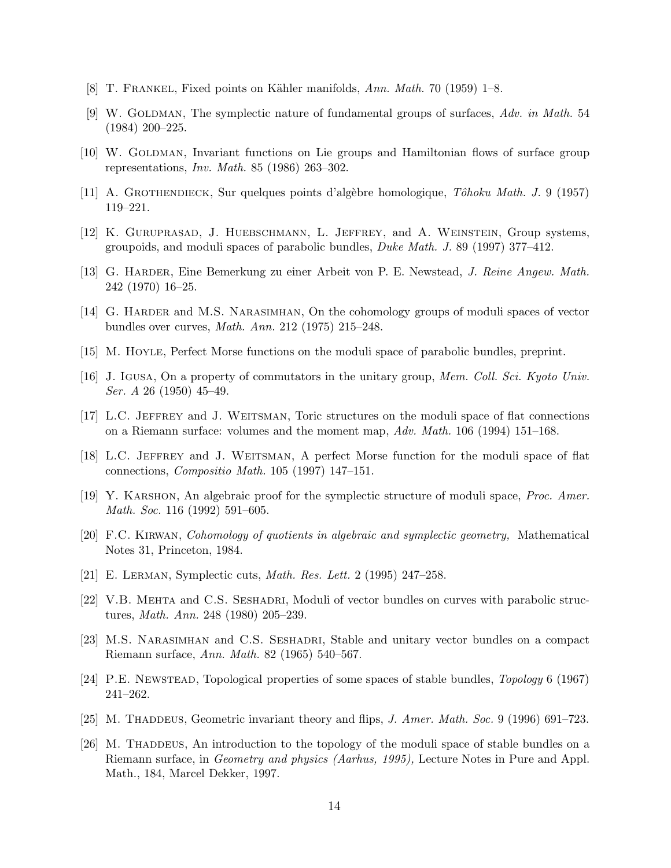- <span id="page-13-0"></span>[8] T. FRANKEL, Fixed points on Kähler manifolds,  $Ann. Math. 70 (1959) 1–8.$
- [9] W. GOLDMAN, The symplectic nature of fundamental groups of surfaces, Adv. in Math. 54 (1984) 200–225.
- [10] W. GOLDMAN, Invariant functions on Lie groups and Hamiltonian flows of surface group representations, Inv. Math. 85 (1986) 263–302.
- [11] A. GROTHENDIECK, Sur quelques points d'algèbre homologique, *Tôhoku Math. J.* 9 (1957) 119–221.
- [12] K. Guruprasad, J. Huebschmann, L. Jeffrey, and A. Weinstein, Group systems, groupoids, and moduli spaces of parabolic bundles, Duke Math. J. 89 (1997) 377–412.
- [13] G. Harder, Eine Bemerkung zu einer Arbeit von P. E. Newstead, J. Reine Angew. Math. 242 (1970) 16–25.
- [14] G. HARDER and M.S. NARASIMHAN, On the cohomology groups of moduli spaces of vector bundles over curves, Math. Ann. 212 (1975) 215–248.
- [15] M. Hoyle, Perfect Morse functions on the moduli space of parabolic bundles, preprint.
- [16] J. Igusa, On a property of commutators in the unitary group, Mem. Coll. Sci. Kyoto Univ. Ser. A 26 (1950) 45–49.
- [17] L.C. Jeffrey and J. Weitsman, Toric structures on the moduli space of flat connections on a Riemann surface: volumes and the moment map,  $Adv. Math. 106 (1994) 151-168$ .
- [18] L.C. Jeffrey and J. Weitsman, A perfect Morse function for the moduli space of flat connections, Compositio Math. 105 (1997) 147–151.
- [19] Y. Karshon, An algebraic proof for the symplectic structure of moduli space, Proc. Amer. Math. Soc. 116 (1992) 591–605.
- [20] F.C. Kirwan, Cohomology of quotients in algebraic and symplectic geometry, Mathematical Notes 31, Princeton, 1984.
- [21] E. Lerman, Symplectic cuts, Math. Res. Lett. 2 (1995) 247–258.
- [22] V.B. Mehta and C.S. Seshadri, Moduli of vector bundles on curves with parabolic structures, Math. Ann. 248 (1980) 205–239.
- [23] M.S. NARASIMHAN and C.S. SESHADRI, Stable and unitary vector bundles on a compact Riemann surface, Ann. Math. 82 (1965) 540–567.
- [24] P.E. Newstead, Topological properties of some spaces of stable bundles, Topology 6 (1967) 241–262.
- [25] M. Thaddeus, Geometric invariant theory and flips, J. Amer. Math. Soc. 9 (1996) 691–723.
- [26] M. Thad DEUS, An introduction to the topology of the moduli space of stable bundles on a Riemann surface, in Geometry and physics (Aarhus, 1995), Lecture Notes in Pure and Appl. Math., 184, Marcel Dekker, 1997.